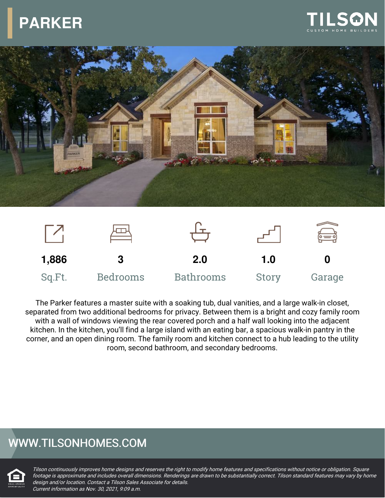## **PARKER**







The Parker features a master suite with a soaking tub, dual vanities, and a large walk-in closet, separated from two additional bedrooms for privacy. Between them is a bright and cozy family room with a wall of windows viewing the rear covered porch and a half wall looking into the adjacent kitchen. In the kitchen, you'll find a large island with an eating bar, a spacious walk-in pantry in the corner, and an open dining room. The family room and kitchen connect to a hub leading to the utility room, second bathroom, and secondary bedrooms.

## WWW.TILSONHOMES.COM



Tilson continuously improves home designs and reserves the right to modify home features and specifications without notice or obligation. Square footage is approximate and includes overall dimensions. Renderings are drawn to be substantially correct. Tilson standard features may vary by home design and/or location. Contact <sup>a</sup> Tilson Sales Associate for details. Current information as Nov. 30, 2021, 9:09 a.m.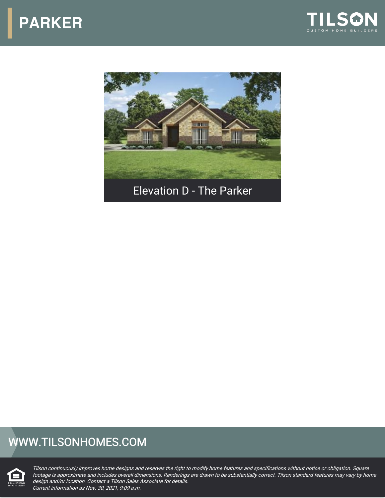





## WWW.TILSONHOMES.COM



Tilson continuously improves home designs and reserves the right to modify home features and specifications without notice or obligation. Square footage is approximate and includes overall dimensions. Renderings are drawn to be substantially correct. Tilson standard features may vary by home design and/or location. Contact <sup>a</sup> Tilson Sales Associate for details. Current information as Nov. 30, 2021, 9:09 a.m.